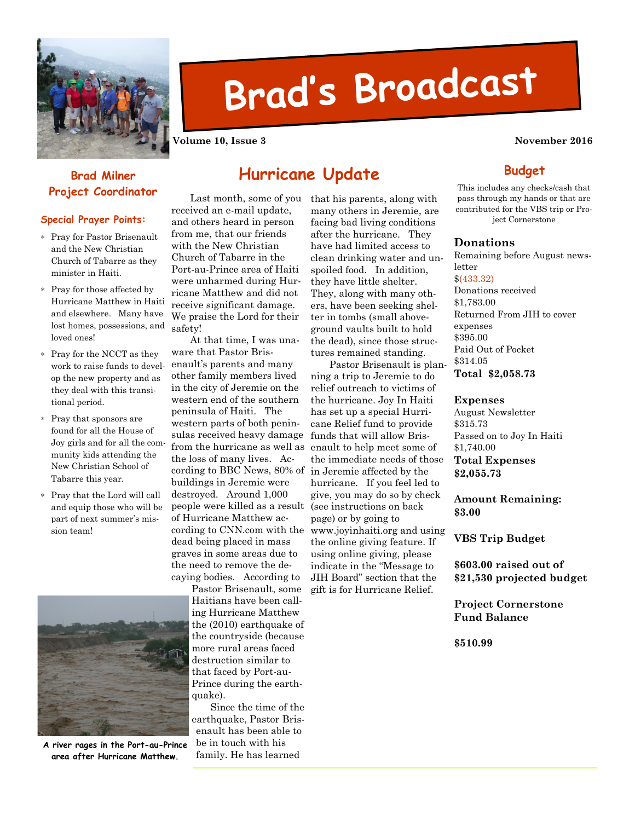

# Brad's Broadcast

Volume 10, Issue 3 November 2016

# Brad Milner

## Special Prayer Points:

- ∗ Pray for Pastor Brisenault and the New Christian Church of Tabarre as they minister in Haiti.
- ∗ Pray for those affected by Hurricane Matthew in Haiti and elsewhere. Many have lost homes, possessions, and loved ones!
- ∗ Pray for the NCCT as they work to raise funds to develop the new property and as they deal with this transitional period.
- ∗ Pray that sponsors are found for all the House of Joy girls and for all the community kids attending the New Christian School of Tabarre this year.
- ∗ Pray that the Lord will call and equip those who will be part of next summer's mission team!



A river rages in the Port-au-Prince area after Hurricane Matthew.

**Project Coordinator** Last month, some of you received an e-mail update, and others heard in person from me, that our friends with the New Christian

Hurricane Update

Church of Tabarre in the Port-au-Prince area of Haiti were unharmed during Hurricane Matthew and did not receive significant damage. We praise the Lord for their safety! At that time, I was una-

ware that Pastor Brisenault's parents and many other family members lived in the city of Jeremie on the western end of the southern peninsula of Haiti. The western parts of both peninsulas received heavy damage from the hurricane as well as the loss of many lives. According to BBC News, 80% of buildings in Jeremie were destroyed. Around 1,000 people were killed as a result of Hurricane Matthew according to CNN.com with the dead being placed in mass graves in some areas due to the need to remove the decaying bodies. According to

> Pastor Brisenault, some Haitians have been calling Hurricane Matthew the (2010) earthquake of the countryside (because more rural areas faced destruction similar to that faced by Port-au-Prince during the earthquake).

 Since the time of the earthquake, Pastor Brisenault has been able to be in touch with his family. He has learned

that his parents, along with many others in Jeremie, are facing bad living conditions after the hurricane. They have had limited access to clean drinking water and unspoiled food. In addition, they have little shelter. They, along with many others, have been seeking shelter in tombs (small aboveground vaults built to hold the dead), since those structures remained standing.

ning a trip to Jeremie to do relief outreach to victims of the hurricane. Joy In Haiti has set up a special Hurricane Relief fund to provide funds that will allow Brisenault to help meet some of the immediate needs of those in Jeremie affected by the hurricane. If you feel led to give, you may do so by check (see instructions on back page) or by going to www.joyinhaiti.org and using the online giving feature. If using online giving, please indicate in the "Message to JIH Board" section that the gift is for Hurricane Relief.

Pastor Brisenault is plan-

**Budget** This includes any checks/cash that pass through my hands or that are contributed for the VBS trip or Pro-

ject Cornerstone

## Donations

Remaining before August newsletter

\$(433.32)

Donations received \$1,783.00 Returned From JIH to cover expenses \$395.00 Paid Out of Pocket \$314.05

Total \$2,058.73

### Expenses

August Newsletter \$315.73 Passed on to Joy In Haiti \$1,740.00 Total Expenses \$2,055.73

Amount Remaining: \$3.00

VBS Trip Budget

\$603.00 raised out of \$21,530 projected budget

Project Cornerstone Fund Balance

\$510.99